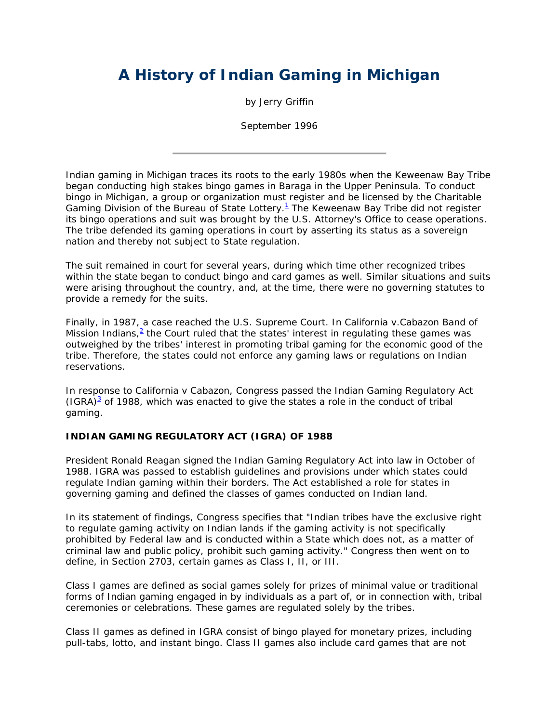# **A History of Indian Gaming in Michigan**

by Jerry Griffin

September 1996

Indian gaming in Michigan traces its roots to the early 1980s when the Keweenaw Bay Tribe began conducting high stakes bingo games in Baraga in the Upper Peninsula. To conduct bingo in Michigan, a group or organization must register and be licensed by the Charitable Gaming Division of the Bureau of State Lottery. $1$  The Keweenaw Bay Tribe did not register its bingo operations and suit was brought by the U.S. Attorney's Office to cease operations. The tribe defended its gaming operations in court by asserting its status as a sovereign nation and thereby not subject to State regulation.

The suit remained in court for several years, during which time other recognized tribes within the state began to conduct bingo and card games as well. Similar situations and suits were arising throughout the country, and, at the time, there were no governing statutes to provide a remedy for the suits.

Finally, in 1987, a case reached the U.S. Supreme Court. In *California v.Cabazon Band of*  Mission Indians,<sup>2</sup> the Court ruled that the states' interest in regulating these games was outweighed by the tribes' interest in promoting tribal gaming for the economic good of the tribe. Therefore, the states could not enforce any gaming laws or regulations on Indian reservations.

In response to *California v Cabazon*, Congress passed the Indian Gaming Regulatory Act  $(IGRA)^3$  of 1988, which was enacted to give the states a role in the conduct of tribal gaming.

#### **INDIAN GAMING REGULATORY ACT (IGRA) OF 1988**

President Ronald Reagan signed the Indian Gaming Regulatory Act into law in October of 1988. IGRA was passed to establish guidelines and provisions under which states could regulate Indian gaming within their borders. The Act established a role for states in governing gaming and defined the classes of games conducted on Indian land.

In its statement of findings, Congress specifies that "Indian tribes have the exclusive right to regulate gaming activity on Indian lands if the gaming activity is not specifically prohibited by Federal law and is conducted within a State which does not, as a matter of criminal law and public policy, prohibit such gaming activity." Congress then went on to define, in Section 2703, certain games as Class I, II, or III.

Class I games are defined as social games solely for prizes of minimal value or traditional forms of Indian gaming engaged in by individuals as a part of, or in connection with, tribal ceremonies or celebrations. These games are regulated solely by the tribes.

Class II games as defined in IGRA consist of bingo played for monetary prizes, including pull-tabs, lotto, and instant bingo. Class II games also include card games that are not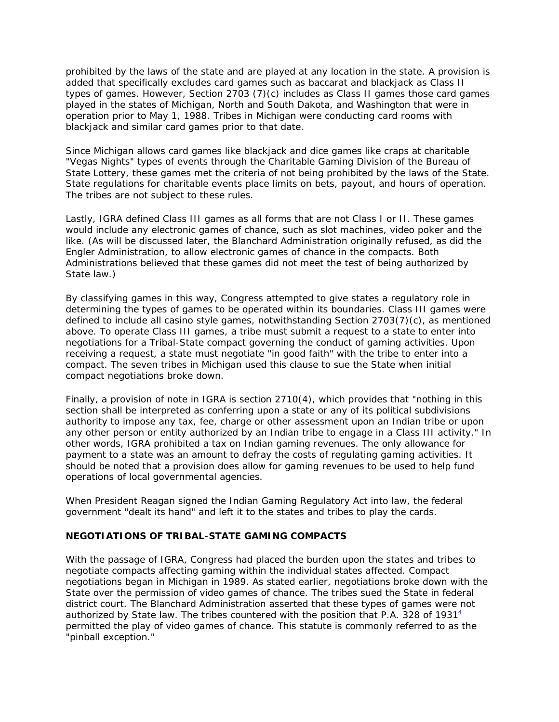prohibited by the laws of the state and are played at any location in the state. A provision is added that specifically excludes card games such as baccarat and blackjack as Class II types of games. However, Section 2703 (7)(c) includes as Class II games those card games played in the states of Michigan, North and South Dakota, and Washington that were in operation prior to May 1, 1988. Tribes in Michigan were conducting card rooms with blackjack and similar card games prior to that date.

Since Michigan allows card games like blackjack and dice games like craps at charitable "Vegas Nights" types of events through the Charitable Gaming Division of the Bureau of State Lottery, these games met the criteria of not being prohibited by the laws of the State. State regulations for charitable events place limits on bets, payout, and hours of operation. The tribes are not subject to these rules.

Lastly, IGRA defined Class III games as all forms that are not Class I or II. These games would include any electronic games of chance, such as slot machines, video poker and the like. (As will be discussed later, the Blanchard Administration originally refused, as did the Engler Administration, to allow electronic games of chance in the compacts. Both Administrations believed that these games did not meet the test of being authorized by State law.)

By classifying games in this way, Congress attempted to give states a regulatory role in determining the types of games to be operated within its boundaries. Class III games were defined to include all casino style games, notwithstanding Section 2703(7)(c), as mentioned above. To operate Class III games, a tribe must submit a request to a state to enter into negotiations for a Tribal-State compact governing the conduct of gaming activities. Upon receiving a request, a state must negotiate "in good faith" with the tribe to enter into a compact. The seven tribes in Michigan used this clause to sue the State when initial compact negotiations broke down.

Finally, a provision of note in IGRA is section 2710(4), which provides that "nothing in this section shall be interpreted as conferring upon a state or any of its political subdivisions authority to impose any tax, fee, charge or other assessment upon an Indian tribe or upon any other person or entity authorized by an Indian tribe to engage in a Class III activity." In other words, IGRA prohibited a tax on Indian gaming revenues. The only allowance for payment to a state was an amount to defray the costs of regulating gaming activities. It should be noted that a provision does allow for gaming revenues to be used to help fund operations of local governmental agencies.

When President Reagan signed the Indian Gaming Regulatory Act into law, the federal government "dealt its hand" and left it to the states and tribes to play the cards.

## **NEGOTIATIONS OF TRIBAL-STATE GAMING COMPACTS**

With the passage of IGRA, Congress had placed the burden upon the states and tribes to negotiate compacts affecting gaming within the individual states affected. Compact negotiations began in Michigan in 1989. As stated earlier, negotiations broke down with the State over the permission of video games of chance. The tribes sued the State in federal district court. The Blanchard Administration asserted that these types of games were not authorized by State law. The tribes countered with the position that P.A. 328 of 1931 $^4$ permitted the play of video games of chance. This statute is commonly referred to as the "pinball exception."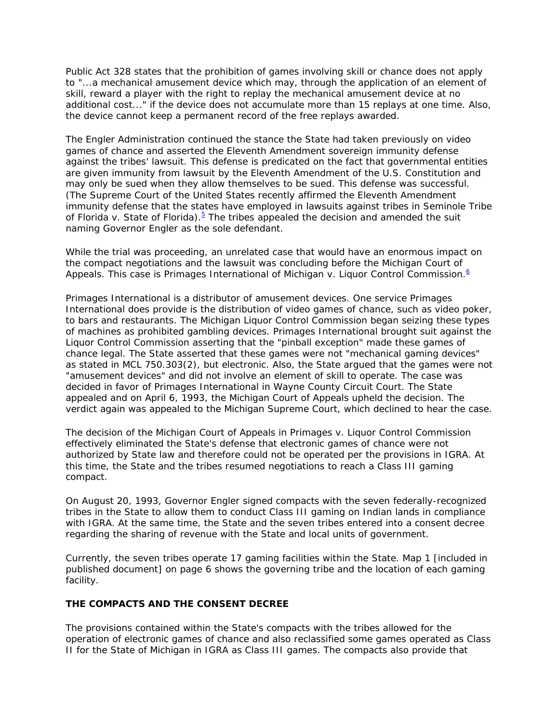Public Act 328 states that the prohibition of games involving skill or chance does not apply to "...a mechanical amusement device which may, through the application of an element of skill, reward a player with the right to replay the mechanical amusement device at no additional cost..." if the device does not accumulate more than 15 replays at one time. Also, the device cannot keep a permanent record of the free replays awarded.

The Engler Administration continued the stance the State had taken previously on video games of chance and asserted the Eleventh Amendment sovereign immunity defense against the tribes' lawsuit. This defense is predicated on the fact that governmental entities are given immunity from lawsuit by the Eleventh Amendment of the U.S. Constitution and may only be sued when they allow themselves to be sued. This defense was successful. (The Supreme Court of the United States recently affirmed the Eleventh Amendment immunity defense that the states have employed in lawsuits against tribes in *Seminole Tribe*  of Florida v. State of Florida).<sup>5</sup> The tribes appealed the decision and amended the suit naming Governor Engler as the sole defendant.

While the trial was proceeding, an unrelated case that would have an enormous impact on the compact negotiations and the lawsuit was concluding before the Michigan Court of Appeals. This case is *Primages International of Michigan v. Liquor Control Commission.*<sup>6</sup>

Primages International is a distributor of amusement devices. One service Primages International does provide is the distribution of video games of chance, such as video poker, to bars and restaurants. The Michigan Liquor Control Commission began seizing these types of machines as prohibited gambling devices. Primages International brought suit against the Liquor Control Commission asserting that the "pinball exception" made these games of chance legal. The State asserted that these games were not "mechanical gaming devices" as stated in MCL 750.303(2), but electronic. Also, the State argued that the games were not "amusement devices" and did not involve an element of skill to operate. The case was decided in favor of Primages International in Wayne County Circuit Court. The State appealed and on April 6, 1993, the Michigan Court of Appeals upheld the decision. The verdict again was appealed to the Michigan Supreme Court, which declined to hear the case.

The decision of the Michigan Court of Appeals in *Primages v. Liquor Control Commission*  effectively eliminated the State's defense that electronic games of chance were not authorized by State law and therefore could not be operated per the provisions in IGRA. At this time, the State and the tribes resumed negotiations to reach a Class III gaming compact.

On August 20, 1993, Governor Engler signed compacts with the seven federally-recognized tribes in the State to allow them to conduct Class III gaming on Indian lands in compliance with IGRA. At the same time, the State and the seven tribes entered into a consent decree regarding the sharing of revenue with the State and local units of government.

Currently, the seven tribes operate 17 gaming facilities within the State. Map 1 *[included in published document]* on page 6 shows the governing tribe and the location of each gaming facility.

#### **THE COMPACTS AND THE CONSENT DECREE**

The provisions contained within the State's compacts with the tribes allowed for the operation of electronic games of chance and also reclassified some games operated as Class II for the State of Michigan in IGRA as Class III games. The compacts also provide that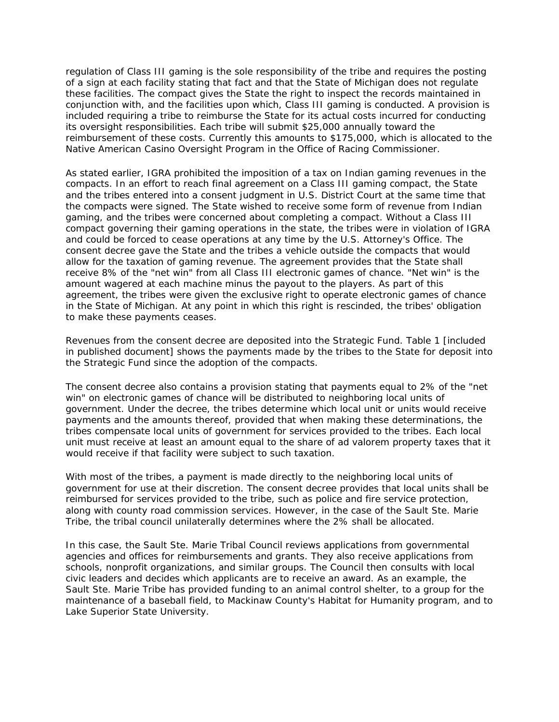regulation of Class III gaming is the sole responsibility of the tribe and requires the posting of a sign at each facility stating that fact and that the State of Michigan does not regulate these facilities. The compact gives the State the right to inspect the records maintained in conjunction with, and the facilities upon which, Class III gaming is conducted. A provision is included requiring a tribe to reimburse the State for its actual costs incurred for conducting its oversight responsibilities. Each tribe will submit \$25,000 annually toward the reimbursement of these costs. Currently this amounts to \$175,000, which is allocated to the Native American Casino Oversight Program in the Office of Racing Commissioner.

As stated earlier, IGRA prohibited the imposition of a tax on Indian gaming revenues in the compacts. In an effort to reach final agreement on a Class III gaming compact, the State and the tribes entered into a consent judgment in U.S. District Court at the same time that the compacts were signed. The State wished to receive some form of revenue from Indian gaming, and the tribes were concerned about completing a compact. Without a Class III compact governing their gaming operations in the state, the tribes were in violation of IGRA and could be forced to cease operations at any time by the U.S. Attorney's Office. The consent decree gave the State and the tribes a vehicle outside the compacts that would allow for the taxation of gaming revenue. The agreement provides that the State shall receive 8% of the "net win" from all Class III electronic games of chance. "Net win" is the amount wagered at each machine minus the payout to the players. As part of this agreement, the tribes were given the exclusive right to operate electronic games of chance in the State of Michigan. At any point in which this right is rescinded, the tribes' obligation to make these payments ceases.

Revenues from the consent decree are deposited into the Strategic Fund. Table 1 *[included in published document]* shows the payments made by the tribes to the State for deposit into the Strategic Fund since the adoption of the compacts.

The consent decree also contains a provision stating that payments equal to 2% of the "net win" on electronic games of chance will be distributed to neighboring local units of government. Under the decree, the tribes determine which local unit or units would receive payments and the amounts thereof, provided that when making these determinations, the tribes compensate local units of government for services provided to the tribes. Each local unit must receive at least an amount equal to the share of ad valorem property taxes that it would receive if that facility were subject to such taxation.

With most of the tribes, a payment is made directly to the neighboring local units of government for use at their discretion. The consent decree provides that local units shall be reimbursed for services provided to the tribe, such as police and fire service protection, along with county road commission services. However, in the case of the Sault Ste. Marie Tribe, the tribal council unilaterally determines where the 2% shall be allocated.

In this case, the Sault Ste. Marie Tribal Council reviews applications from governmental agencies and offices for reimbursements and grants. They also receive applications from schools, nonprofit organizations, and similar groups. The Council then consults with local civic leaders and decides which applicants are to receive an award. As an example, the Sault Ste. Marie Tribe has provided funding to an animal control shelter, to a group for the maintenance of a baseball field, to Mackinaw County's Habitat for Humanity program, and to Lake Superior State University.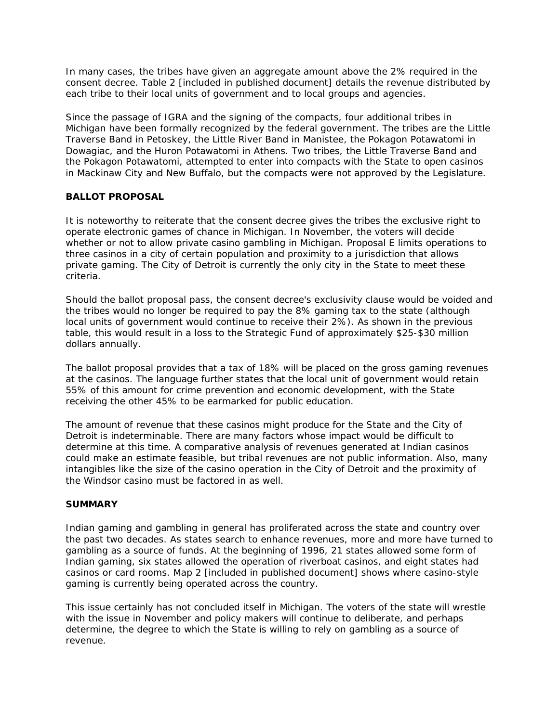In many cases, the tribes have given an aggregate amount above the 2% required in the consent decree. Table 2 *[included in published document]* details the revenue distributed by each tribe to their local units of government and to local groups and agencies.

Since the passage of IGRA and the signing of the compacts, four additional tribes in Michigan have been formally recognized by the federal government. The tribes are the Little Traverse Band in Petoskey, the Little River Band in Manistee, the Pokagon Potawatomi in Dowagiac, and the Huron Potawatomi in Athens. Two tribes, the Little Traverse Band and the Pokagon Potawatomi, attempted to enter into compacts with the State to open casinos in Mackinaw City and New Buffalo, but the compacts were not approved by the Legislature.

#### **BALLOT PROPOSAL**

It is noteworthy to reiterate that the consent decree gives the tribes the exclusive right to operate electronic games of chance in Michigan. In November, the voters will decide whether or not to allow private casino gambling in Michigan. Proposal E limits operations to three casinos in a city of certain population and proximity to a jurisdiction that allows private gaming. The City of Detroit is currently the only city in the State to meet these criteria.

Should the ballot proposal pass, the consent decree's exclusivity clause would be voided and the tribes would no longer be required to pay the 8% gaming tax to the state (although local units of government would continue to receive their 2%). As shown in the previous table, this would result in a loss to the Strategic Fund of approximately \$25-\$30 million dollars annually.

The ballot proposal provides that a tax of 18% will be placed on the gross gaming revenues at the casinos. The language further states that the local unit of government would retain 55% of this amount for crime prevention and economic development, with the State receiving the other 45% to be earmarked for public education.

The amount of revenue that these casinos might produce for the State and the City of Detroit is indeterminable. There are many factors whose impact would be difficult to determine at this time. A comparative analysis of revenues generated at Indian casinos could make an estimate feasible, but tribal revenues are not public information. Also, many intangibles like the size of the casino operation in the City of Detroit and the proximity of the Windsor casino must be factored in as well.

#### **SUMMARY**

Indian gaming and gambling in general has proliferated across the state and country over the past two decades. As states search to enhance revenues, more and more have turned to gambling as a source of funds. At the beginning of 1996, 21 states allowed some form of Indian gaming, six states allowed the operation of riverboat casinos, and eight states had casinos or card rooms. Map 2 *[included in published document]* shows where casino-style gaming is currently being operated across the country.

This issue certainly has not concluded itself in Michigan. The voters of the state will wrestle with the issue in November and policy makers will continue to deliberate, and perhaps determine, the degree to which the State is willing to rely on gambling as a source of revenue.